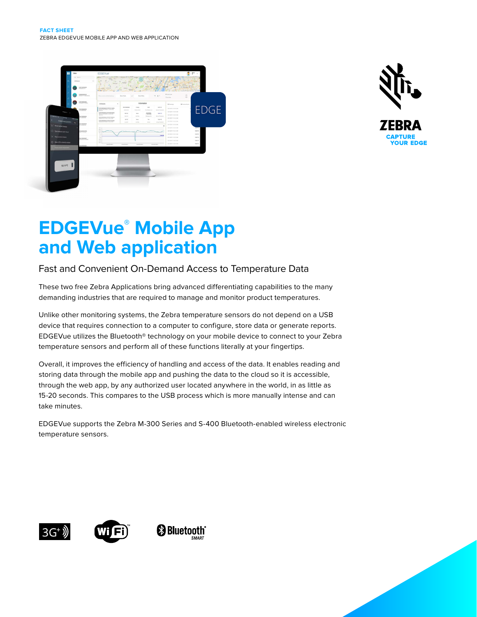



# **EDGEVue® Mobile App and Web application**

# Fast and Convenient On-Demand Access to Temperature Data

These two free Zebra Applications bring advanced differentiating capabilities to the many demanding industries that are required to manage and monitor product temperatures.

Unlike other monitoring systems, the Zebra temperature sensors do not depend on a USB device that requires connection to a computer to configure, store data or generate reports. EDGEVue utilizes the Bluetooth® technology on your mobile device to connect to your Zebra temperature sensors and perform all of these functions literally at your fingertips.

Overall, it improves the efficiency of handling and access of the data. It enables reading and storing data through the mobile app and pushing the data to the cloud so it is accessible, through the web app, by any authorized user located anywhere in the world, in as little as 15-20 seconds. This compares to the USB process which is more manually intense and can take minutes.

EDGEVue supports the Zebra M-300 Series and S-400 Bluetooth-enabled wireless electronic temperature sensors.







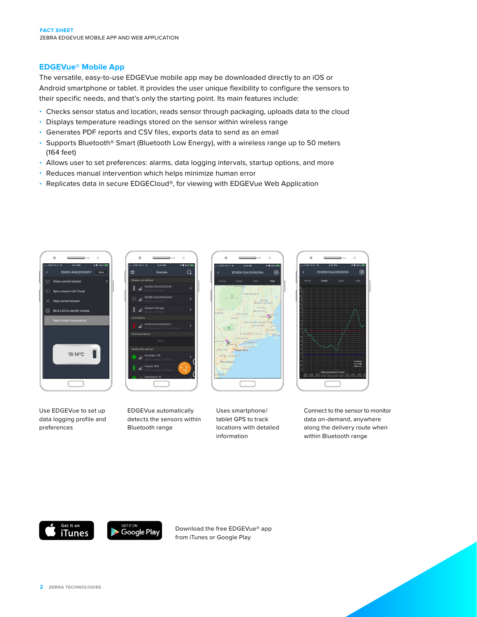## **EDGEVue® Mobile App**

The versatile, easy-to-use EDGEVue mobile app may be downloaded directly to an iOS or Android smartphone or tablet. It provides the user unique flexibility to configure the sensors to their specific needs, and that's only the starting point. Its main features include:

- Checks sensor status and location, reads sensor through packaging, uploads data to the cloud
- Displays temperature readings stored on the sensor within wireless range
- Generates PDF reports and CSV files, exports data to send as an email
- Supports Bluetooth® Smart (Bluetooth Low Energy), with a wireless range up to 50 meters (164 feet)
- Allows user to set preferences: alarms, data logging intervals, startup options, and more
- Reduces manual intervention which helps minimize human error
- Replicates data in secure EDGECloud®, for viewing with EDGEVue Web Application





Use EDGEVue to set up data logging profile and preferences

EDGEVue automatically detects the sensors within Bluetooth range



Uses smartphone/ tablet GPS to track locations with detailed information



Connect to the sensor to monitor data on-demand, anywhere along the delivery route when within Bluetooth range



Download the free EDGEVue® app from iTunes or Google Play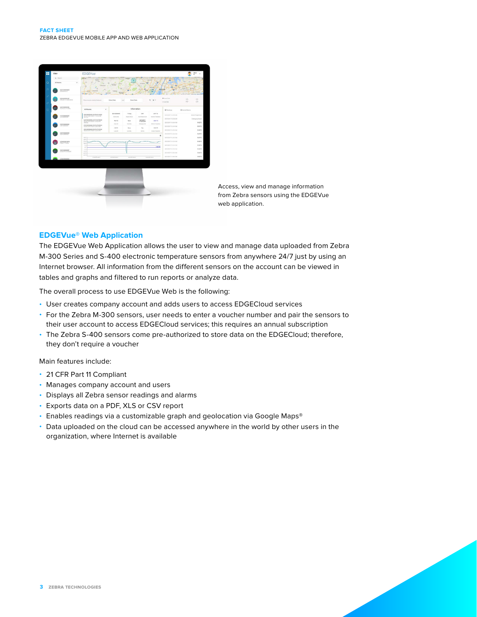

Access, view and manage information from Zebra sensors using the EDGEVue web application.

### **EDGEVue® Web Application**

The EDGEVue Web Application allows the user to view and manage data uploaded from Zebra M-300 Series and S-400 electronic temperature sensors from anywhere 24/7 just by using an Internet browser. All information from the different sensors on the account can be viewed in tables and graphs and filtered to run reports or analyze data.

The overall process to use EDGEVue Web is the following:

- User creates company account and adds users to access EDGECloud services
- For the Zebra M-300 sensors, user needs to enter a voucher number and pair the sensors to their user account to access EDGECloud services; this requires an annual subscription
- The Zebra S-400 sensors come pre-authorized to store data on the EDGECloud; therefore, they don't require a voucher

Main features include:

- 21 CFR Part 11 Compliant
- Manages company account and users
- Displays all Zebra sensor readings and alarms
- Exports data on a PDF, XLS or CSV report
- Enables readings via a customizable graph and geolocation via Google Maps®
- Data uploaded on the cloud can be accessed anywhere in the world by other users in the organization, where Internet is available